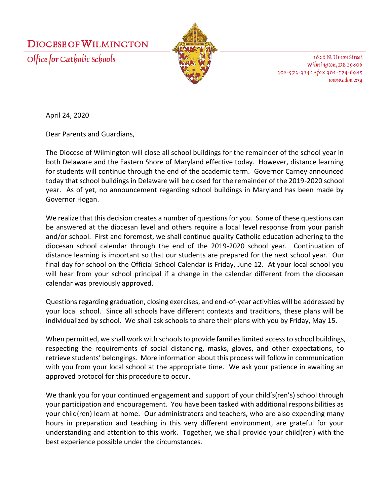



1626 N. Union Street Wilmington, DE 19806  $302 - 573 - 3133$  ·  $\frac{1}{4}ax$  302-573-6945 www.cdow.org

April 24, 2020

Dear Parents and Guardians,

The Diocese of Wilmington will close all school buildings for the remainder of the school year in both Delaware and the Eastern Shore of Maryland effective today. However, distance learning for students will continue through the end of the academic term. Governor Carney announced today that school buildings in Delaware will be closed for the remainder of the 2019-2020 school year. As of yet, no announcement regarding school buildings in Maryland has been made by Governor Hogan.

We realize that this decision creates a number of questions for you. Some of these questions can be answered at the diocesan level and others require a local level response from your parish and/or school. First and foremost, we shall continue quality Catholic education adhering to the diocesan school calendar through the end of the 2019-2020 school year. Continuation of distance learning is important so that our students are prepared for the next school year. Our final day for school on the Official School Calendar is Friday, June 12. At your local school you will hear from your school principal if a change in the calendar different from the diocesan calendar was previously approved.

Questions regarding graduation, closing exercises, and end-of-year activities will be addressed by your local school. Since all schools have different contexts and traditions, these plans will be individualized by school. We shall ask schools to share their plans with you by Friday, May 15.

When permitted, we shall work with schools to provide families limited access to school buildings, respecting the requirements of social distancing, masks, gloves, and other expectations, to retrieve students' belongings. More information about this process will follow in communication with you from your local school at the appropriate time. We ask your patience in awaiting an approved protocol for this procedure to occur.

We thank you for your continued engagement and support of your child's(ren's) school through your participation and encouragement. You have been tasked with additional responsibilities as your child(ren) learn at home. Our administrators and teachers, who are also expending many hours in preparation and teaching in this very different environment, are grateful for your understanding and attention to this work. Together, we shall provide your child(ren) with the best experience possible under the circumstances.